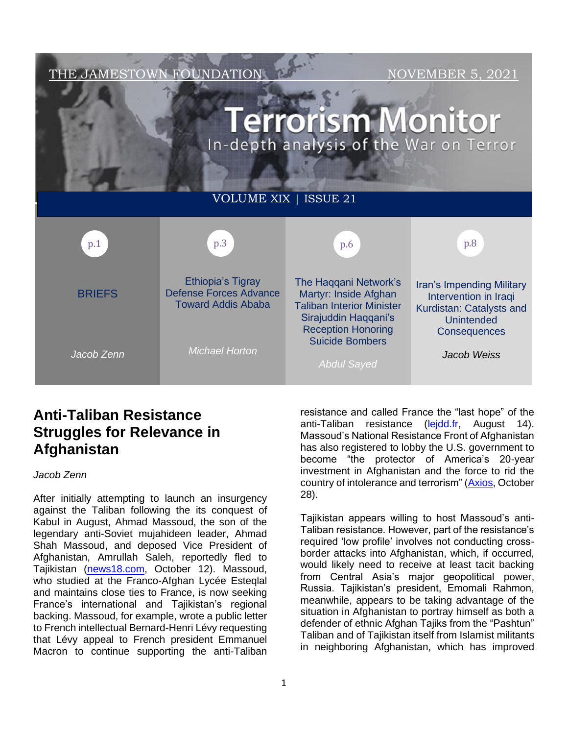

# **Anti-Taliban Resistance Struggles for Relevance in Afghanistan**

#### *Jacob Zenn*

After initially attempting to launch an insurgency against the Taliban following the its conquest of Kabul in August, Ahmad Massoud, the son of the legendary anti-Soviet mujahideen leader, Ahmad Shah Massoud, and deposed Vice President of Afghanistan, Amrullah Saleh, reportedly fled to Tajikistan [\(news18.com,](https://www.news18.com/news/world/tajikistan-harbouring-ex-afghan-vp-amrullah-saleh-ahmad-massoud-turkey-mediator-4315523.html) October 12). Massoud, who studied at the Franco-Afghan Lycée Esteqlal and maintains close ties to France, is now seeking France's international and Tajikistan's regional backing. Massoud, for example, wrote a public letter to French intellectual Bernard-Henri Lévy requesting that Lévy appeal to French president Emmanuel Macron to continue supporting the anti-Taliban

anti-Taliban resistance (leidd.fr, August 14). Massoud's National Resistance Front of Afghanistan has also registered to lobby the U.S. government to become "the protector of America's 20-year investment in Afghanistan and the force to rid the country of intolerance and terrorism" [\(Axios,](https://www.yahoo.com/news/taliban-resistance-ramps-u-lobbying-003039564.html) October 28).

resistance and called France the "last hope" of the

Tajikistan appears willing to host Massoud's anti-Taliban resistance. However, part of the resistance's required 'low profile' involves not conducting crossborder attacks into Afghanistan, which, if occurred, would likely need to receive at least tacit backing from Central Asia's major geopolitical power, Russia. Tajikistan's president, Emomali Rahmon, meanwhile, appears to be taking advantage of the situation in Afghanistan to portray himself as both a defender of ethnic Afghan Tajiks from the "Pashtun" Taliban and of Tajikistan itself from Islamist militants in neighboring Afghanistan, which has improved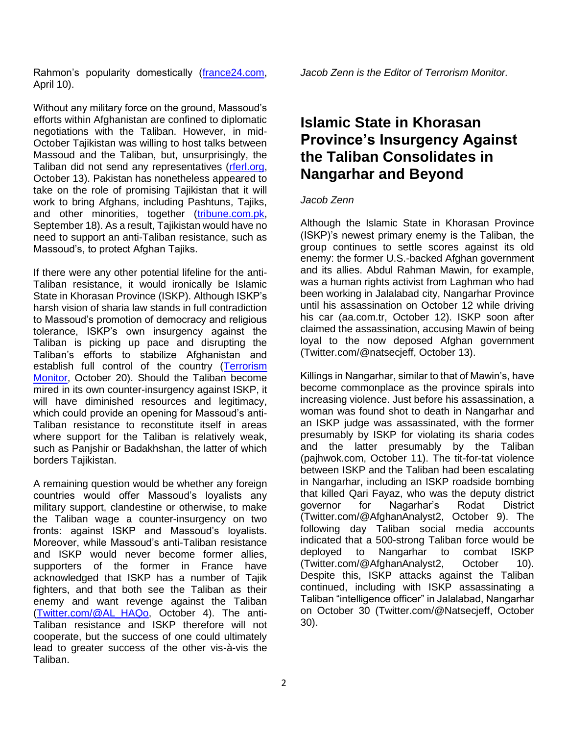Rahmon's popularity domestically [\(france24.com,](https://www.france24.com/en/asia-pacific/20211004-afghan-resistance-has-sanctuary-in-tajikistan-but-fighting-taliban-a-non-viable-prospect) April 10).

Without any military force on the ground, Massoud's efforts within Afghanistan are confined to diplomatic negotiations with the Taliban. However, in mid-October Tajikistan was willing to host talks between Massoud and the Taliban, but, unsurprisingly, the Taliban did not send any representatives [\(rferl.org,](https://www.rferl.org/a/tajikistan-masud-talks-taliban/31507572.html) October 13). Pakistan has nonetheless appeared to take on the role of promising Tajikistan that it will work to bring Afghans, including Pashtuns, Tajiks, and other minorities, together [\(tribune.com.pk,](https://tribune.com.pk/story/2320850/pm-imran-president-rahmon-to-bring-taliban-tajiks-closer-fawad) September 18). As a result, Tajikistan would have no need to support an anti-Taliban resistance, such as Massoud's, to protect Afghan Tajiks.

If there were any other potential lifeline for the anti-Taliban resistance, it would ironically be Islamic State in Khorasan Province (ISKP). Although ISKP's harsh vision of sharia law stands in full contradiction to Massoud's promotion of democracy and religious tolerance, ISKP's own insurgency against the Taliban is picking up pace and disrupting the Taliban's efforts to stabilize Afghanistan and establish full control of the country (Terrorism [Monitor,](https://jamestown.org/program/briefs-10-22/) October 20). Should the Taliban become mired in its own counter-insurgency against ISKP, it will have diminished resources and legitimacy, which could provide an opening for Massoud's anti-Taliban resistance to reconstitute itself in areas where support for the Taliban is relatively weak, such as Panjshir or Badakhshan, the latter of which borders Tajikistan.

A remaining question would be whether any foreign countries would offer Massoud's loyalists any military support, clandestine or otherwise, to make the Taliban wage a counter-insurgency on two fronts: against ISKP and Massoud's loyalists. Moreover, while Massoud's anti-Taliban resistance and ISKP would never become former allies, supporters of the former in France have acknowledged that ISKP has a number of Tajik fighters, and that both see the Taliban as their enemy and want revenge against the Taliban [\(Twitter.com/@AL\\_HAQo,](https://twitter.com/AL_HAQ0/status/1445017827040182277) October 4). The anti-Taliban resistance and ISKP therefore will not cooperate, but the success of one could ultimately lead to greater success of the other vis-à-vis the Taliban.

*Jacob Zenn is the Editor of Terrorism Monitor.*

# **Islamic State in Khorasan Province's Insurgency Against the Taliban Consolidates in Nangarhar and Beyond**

### *Jacob Zenn*

Although the Islamic State in Khorasan Province (ISKP)'s newest primary enemy is the Taliban, the group continues to settle scores against its old enemy: the former U.S.-backed Afghan government and its allies. Abdul Rahman Mawin, for example, was a human rights activist from Laghman who had been working in Jalalabad city, Nangarhar Province until his assassination on October 12 while driving his car (aa.com.tr, October 12). ISKP soon after claimed the assassination, accusing Mawin of being loyal to the now deposed Afghan government (Twitter.com/@natsecjeff, October 13).

Killings in Nangarhar, similar to that of Mawin's, have become commonplace as the province spirals into increasing violence. Just before his assassination, a woman was found shot to death in Nangarhar and an ISKP judge was assassinated, with the former presumably by ISKP for violating its sharia codes and the latter presumably by the Taliban (pajhwok.com, October 11). The tit-for-tat violence between ISKP and the Taliban had been escalating in Nangarhar, including an ISKP roadside bombing that killed Qari Fayaz, who was the deputy district governor for Nagarhar's Rodat District (Twitter.com/@AfghanAnalyst2, October 9). The following day Taliban social media accounts indicated that a 500-strong Taliban force would be deployed to Nangarhar to combat ISKP (Twitter.com/@AfghanAnalyst2, October 10). Despite this, ISKP attacks against the Taliban continued, including with ISKP assassinating a Taliban "intelligence officer" in Jalalabad, Nangarhar on October 30 (Twitter.com/@Natsecjeff, October 30).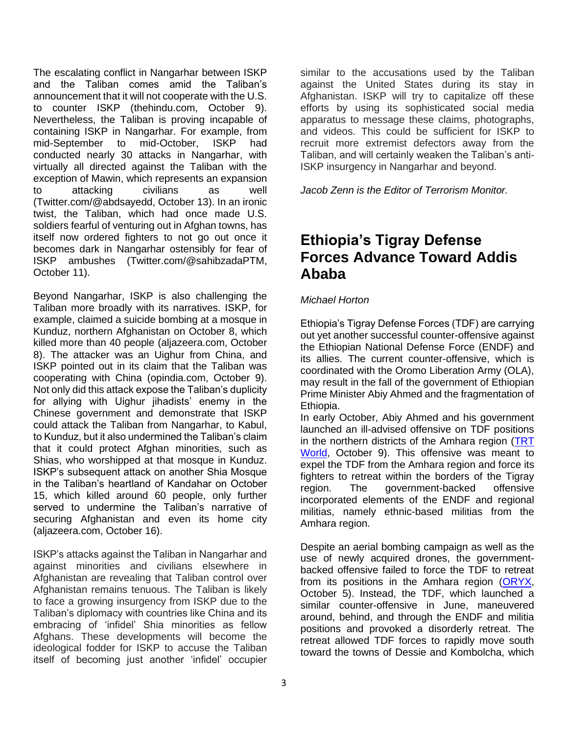The escalating conflict in Nangarhar between ISKP and the Taliban comes amid the Taliban's announcement that it will not cooperate with the U.S. to counter ISKP (thehindu.com, October 9). Nevertheless, the Taliban is proving incapable of containing ISKP in Nangarhar. For example, from mid-September to mid-October, ISKP had conducted nearly 30 attacks in Nangarhar, with virtually all directed against the Taliban with the exception of Mawin, which represents an expansion to attacking civilians as well (Twitter.com/@abdsayedd, October 13). In an ironic twist, the Taliban, which had once made U.S. soldiers fearful of venturing out in Afghan towns, has itself now ordered fighters to not go out once it becomes dark in Nangarhar ostensibly for fear of ISKP ambushes (Twitter.com/@sahibzadaPTM, October 11).

Beyond Nangarhar, ISKP is also challenging the Taliban more broadly with its narratives. ISKP, for example, claimed a suicide bombing at a mosque in Kunduz, northern Afghanistan on October 8, which killed more than 40 people (aljazeera.com, October 8). The attacker was an Uighur from China, and ISKP pointed out in its claim that the Taliban was cooperating with China (opindia.com, October 9). Not only did this attack expose the Taliban's duplicity for allying with Uighur jihadists' enemy in the Chinese government and demonstrate that ISKP could attack the Taliban from Nangarhar, to Kabul, to Kunduz, but it also undermined the Taliban's claim that it could protect Afghan minorities, such as Shias, who worshipped at that mosque in Kunduz. ISKP's subsequent attack on another Shia Mosque in the Taliban's heartland of Kandahar on October 15, which killed around 60 people, only further served to undermine the Taliban's narrative of securing Afghanistan and even its home city (aljazeera.com, October 16).

ISKP's attacks against the Taliban in Nangarhar and against minorities and civilians elsewhere in Afghanistan are revealing that Taliban control over Afghanistan remains tenuous. The Taliban is likely to face a growing insurgency from ISKP due to the Taliban's diplomacy with countries like China and its embracing of 'infidel' Shia minorities as fellow Afghans. These developments will become the ideological fodder for ISKP to accuse the Taliban itself of becoming just another 'infidel' occupier

similar to the accusations used by the Taliban against the United States during its stay in Afghanistan. ISKP will try to capitalize off these efforts by using its sophisticated social media apparatus to message these claims, photographs, and videos. This could be sufficient for ISKP to recruit more extremist defectors away from the Taliban, and will certainly weaken the Taliban's anti-ISKP insurgency in Nangarhar and beyond.

*Jacob Zenn is the Editor of Terrorism Monitor.*

# **Ethiopia's Tigray Defense Forces Advance Toward Addis Ababa**

## *Michael Horton*

Ethiopia's Tigray Defense Forces (TDF) are carrying out yet another successful counter-offensive against the Ethiopian National Defense Force (ENDF) and its allies. The current counter-offensive, which is coordinated with the Oromo Liberation Army (OLA), may result in the fall of the government of Ethiopian Prime Minister Abiy Ahmed and the fragmentation of Ethiopia.

In early October, Abiy Ahmed and his government launched an ill-advised offensive on TDF positions in the northern districts of the Amhara region [\(TRT](https://www.trtworld.com/africa/ethiopia-launches-fresh-offensive-against-tigray-rebels-in-amhara-reports-50611)  [World,](https://www.trtworld.com/africa/ethiopia-launches-fresh-offensive-against-tigray-rebels-in-amhara-reports-50611) October 9). This offensive was meant to expel the TDF from the Amhara region and force its fighters to retreat within the borders of the Tigray region. The government-backed offensive incorporated elements of the ENDF and regional militias, namely ethnic-based militias from the Amhara region.

Despite an aerial bombing campaign as well as the use of newly acquired drones, the governmentbacked offensive failed to force the TDF to retreat from its positions in the Amhara region [\(ORYX,](https://www.oryxspioenkop.com/2021/10/uae-combat-drones-break-cover-in.html) October 5). Instead, the TDF, which launched a similar counter-offensive in June, maneuvered around, behind, and through the ENDF and militia positions and provoked a disorderly retreat. The retreat allowed TDF forces to rapidly move south toward the towns of Dessie and Kombolcha, which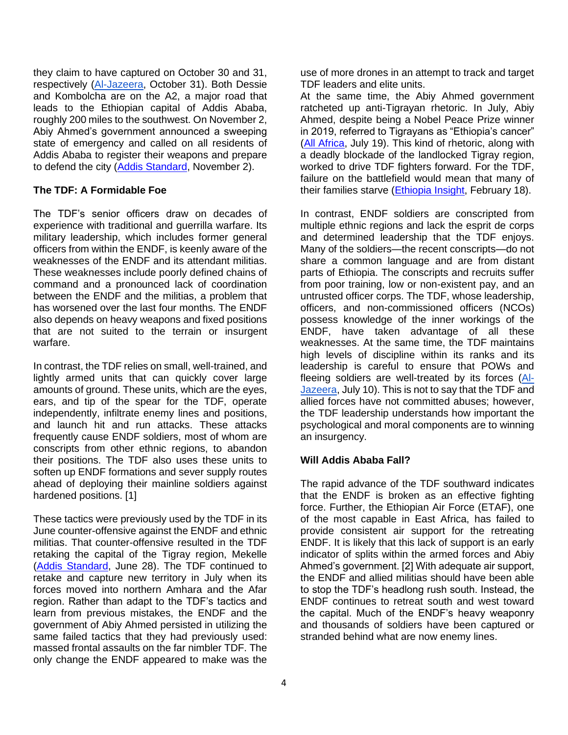they claim to have captured on October 30 and 31, respectively [\(Al-Jazeera,](https://www.aljazeera.com/news/2021/10/31/ethiopian-forces-fight-to-retake-strategic-city-as-rebels-advance) October 31). Both Dessie and Kombolcha are on the A2, a major road that leads to the Ethiopian capital of Addis Ababa, roughly 200 miles to the southwest. On November 2, Abiy Ahmed's government announced a sweeping state of emergency and called on all residents of Addis Ababa to register their weapons and prepare to defend the city [\(Addis Standard,](https://addisstandard.com/update-details-of-ethiopias-state-of-emergency-proclamation/) November 2).

### **The TDF: A Formidable Foe**

The TDF's senior officers draw on decades of experience with traditional and guerrilla warfare. Its military leadership, which includes former general officers from within the ENDF, is keenly aware of the weaknesses of the ENDF and its attendant militias. These weaknesses include poorly defined chains of command and a pronounced lack of coordination between the ENDF and the militias, a problem that has worsened over the last four months. The ENDF also depends on heavy weapons and fixed positions that are not suited to the terrain or insurgent warfare.

In contrast, the TDF relies on small, well-trained, and lightly armed units that can quickly cover large amounts of ground. These units, which are the eyes, ears, and tip of the spear for the TDF, operate independently, infiltrate enemy lines and positions, and launch hit and run attacks. These attacks frequently cause ENDF soldiers, most of whom are conscripts from other ethnic regions, to abandon their positions. The TDF also uses these units to soften up ENDF formations and sever supply routes ahead of deploying their mainline soldiers against hardened positions. [1]

These tactics were previously used by the TDF in its June counter-offensive against the ENDF and ethnic militias. That counter-offensive resulted in the TDF retaking the capital of the Tigray region, Mekelle [\(Addis Standard,](https://addisstandard.com/news-update-tigrayan-forces-take-over-capital-mekelle-fed-gov-accepts-interim-admins-call-for-unilateral-ceasefire/) June 28). The TDF continued to retake and capture new territory in July when its forces moved into northern Amhara and the Afar region. Rather than adapt to the TDF's tactics and learn from previous mistakes, the ENDF and the government of Abiy Ahmed persisted in utilizing the same failed tactics that they had previously used: massed frontal assaults on the far nimbler TDF. The only change the ENDF appeared to make was the

use of more drones in an attempt to track and target TDF leaders and elite units.

At the same time, the Abiy Ahmed government ratcheted up anti-Tigrayan rhetoric. In July, Abiy Ahmed, despite being a Nobel Peace Prize winner in 2019, referred to Tigrayans as "Ethiopia's cancer" [\(All Africa,](https://allafrica.com/stories/202107190826.html) July 19). This kind of rhetoric, along with a deadly blockade of the landlocked Tigray region, worked to drive TDF fighters forward. For the TDF, failure on the battlefield would mean that many of their families starve [\(Ethiopia Insight,](https://www.ethiopia-insight.com/2021/02/18/the-looming-famine-in-tigray/) February 18).

In contrast, ENDF soldiers are conscripted from multiple ethnic regions and lack the esprit de corps and determined leadership that the TDF enjoys. Many of the soldiers—the recent conscripts—do not share a common language and are from distant parts of Ethiopia. The conscripts and recruits suffer from poor training, low or non-existent pay, and an untrusted officer corps. The TDF, whose leadership, officers, and non-commissioned officers (NCOs) possess knowledge of the inner workings of the ENDF, have taken advantage of all these weaknesses. At the same time, the TDF maintains high levels of discipline within its ranks and its leadership is careful to ensure that POWs and fleeing soldiers are well-treated by its forces [\(Al-](https://www.aljazeera.com/news/2021/7/10/what-next-ethiopia-tigray-war)[Jazeera,](https://www.aljazeera.com/news/2021/7/10/what-next-ethiopia-tigray-war) July 10). This is not to say that the TDF and allied forces have not committed abuses; however, the TDF leadership understands how important the psychological and moral components are to winning an insurgency.

### **Will Addis Ababa Fall?**

The rapid advance of the TDF southward indicates that the ENDF is broken as an effective fighting force. Further, the Ethiopian Air Force (ETAF), one of the most capable in East Africa, has failed to provide consistent air support for the retreating ENDF. It is likely that this lack of support is an early indicator of splits within the armed forces and Abiy Ahmed's government. [2] With adequate air support, the ENDF and allied militias should have been able to stop the TDF's headlong rush south. Instead, the ENDF continues to retreat south and west toward the capital. Much of the ENDF's heavy weaponry and thousands of soldiers have been captured or stranded behind what are now enemy lines.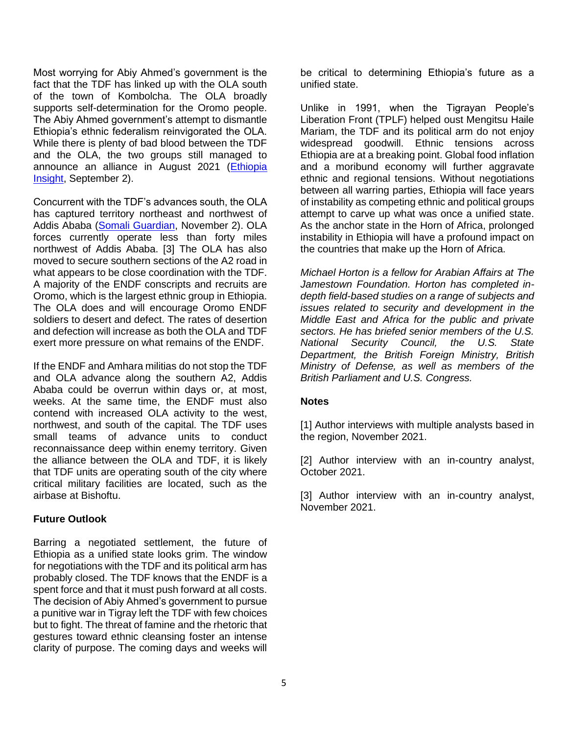Most worrying for Abiy Ahmed's government is the fact that the TDF has linked up with the OLA south of the town of Kombolcha. The OLA broadly supports self-determination for the Oromo people. The Abiy Ahmed government's attempt to dismantle Ethiopia's ethnic federalism reinvigorated the OLA. While there is plenty of bad blood between the TDF and the OLA, the two groups still managed to announce an alliance in August 2021 [\(Ethiopia](https://www.ethiopia-insight.com/2021/09/02/tplf-ola-alliance-is-a-prelude-to-tigrays-secession/)  [Insight,](https://www.ethiopia-insight.com/2021/09/02/tplf-ola-alliance-is-a-prelude-to-tigrays-secession/) September 2).

Concurrent with the TDF's advances south, the OLA has captured territory northeast and northwest of Addis Ababa [\(Somali Guardian,](https://somaliguardian.com/news/africa/ethiopia-declares-state-of-emergency-as-tigray-forces-advance-towards-capital/) November 2). OLA forces currently operate less than forty miles northwest of Addis Ababa. [3] The OLA has also moved to secure southern sections of the A2 road in what appears to be close coordination with the TDF. A majority of the ENDF conscripts and recruits are Oromo, which is the largest ethnic group in Ethiopia. The OLA does and will encourage Oromo ENDF soldiers to desert and defect. The rates of desertion and defection will increase as both the OLA and TDF exert more pressure on what remains of the ENDF.

If the ENDF and Amhara militias do not stop the TDF and OLA advance along the southern A2, Addis Ababa could be overrun within days or, at most, weeks. At the same time, the ENDF must also contend with increased OLA activity to the west, northwest, and south of the capital. The TDF uses small teams of advance units to conduct reconnaissance deep within enemy territory. Given the alliance between the OLA and TDF, it is likely that TDF units are operating south of the city where critical military facilities are located, such as the airbase at Bishoftu.

### **Future Outlook**

Barring a negotiated settlement, the future of Ethiopia as a unified state looks grim. The window for negotiations with the TDF and its political arm has probably closed. The TDF knows that the ENDF is a spent force and that it must push forward at all costs. The decision of Abiy Ahmed's government to pursue a punitive war in Tigray left the TDF with few choices but to fight. The threat of famine and the rhetoric that gestures toward ethnic cleansing foster an intense clarity of purpose. The coming days and weeks will be critical to determining Ethiopia's future as a unified state.

Unlike in 1991, when the Tigrayan People's Liberation Front (TPLF) helped oust Mengitsu Haile Mariam, the TDF and its political arm do not enjoy widespread goodwill. Ethnic tensions across Ethiopia are at a breaking point. Global food inflation and a moribund economy will further aggravate ethnic and regional tensions. Without negotiations between all warring parties, Ethiopia will face years of instability as competing ethnic and political groups attempt to carve up what was once a unified state. As the anchor state in the Horn of Africa, prolonged instability in Ethiopia will have a profound impact on the countries that make up the Horn of Africa.

*Michael Horton is a fellow for Arabian Affairs at The Jamestown Foundation. Horton has completed indepth field-based studies on a range of subjects and issues related to security and development in the Middle East and Africa for the public and private sectors. He has briefed senior members of the U.S. National Security Council, the U.S. State Department, the British Foreign Ministry, British Ministry of Defense, as well as members of the British Parliament and U.S. Congress.* 

#### **Notes**

[1] Author interviews with multiple analysts based in the region, November 2021.

[2] Author interview with an in-country analyst, October 2021.

[3] Author interview with an in-country analyst, November 2021.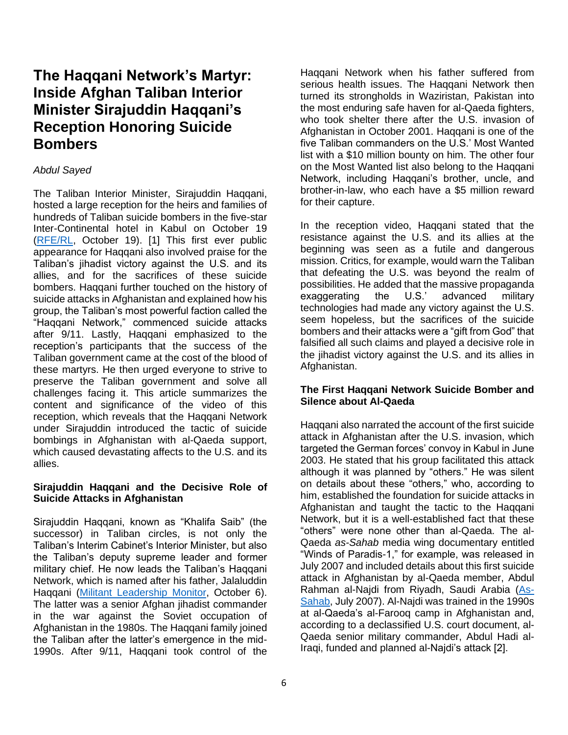# **The Haqqani Network's Martyr: Inside Afghan Taliban Interior Minister Sirajuddin Haqqani's Reception Honoring Suicide Bombers**

### *Abdul Sayed*

The Taliban Interior Minister, Sirajuddin Haqqani, hosted a large reception for the heirs and families of hundreds of Taliban suicide bombers in the five-star Inter-Continental hotel in Kabul on October 19 [\(RFE/RL,](https://gandhara.rferl.org/a/taliban-praises-suicide-bombers-haqqani/31519391.html) October 19). [1] This first ever public appearance for Haqqani also involved praise for the Taliban's jihadist victory against the U.S. and its allies, and for the sacrifices of these suicide bombers. Haqqani further touched on the history of suicide attacks in Afghanistan and explained how his group, the Taliban's most powerful faction called the "Haqqani Network," commenced suicide attacks after 9/11. Lastly, Haqqani emphasized to the reception's participants that the success of the Taliban government came at the cost of the blood of these martyrs. He then urged everyone to strive to preserve the Taliban government and solve all challenges facing it. This article summarizes the content and significance of the video of this reception, which reveals that the Haqqani Network under Sirajuddin introduced the tactic of suicide bombings in Afghanistan with al-Qaeda support, which caused devastating affects to the U.S. and its allies.

### **Sirajuddin Haqqani and the Decisive Role of Suicide Attacks in Afghanistan**

Sirajuddin Haqqani, known as "Khalifa Saib" (the successor) in Taliban circles, is not only the Taliban's Interim Cabinet's Interior Minister, but also the Taliban's deputy supreme leader and former military chief. He now leads the Taliban's Haqqani Network, which is named after his father, Jalaluddin Haqqani [\(Militant Leadership Monitor,](https://jamestown.org/brief/sirajuddin-haqqani-pakistans-sword-arm-and-strategic-asset-in-afghanistan/) October 6). The latter was a senior Afghan jihadist commander in the war against the Soviet occupation of Afghanistan in the 1980s. The Haqqani family joined the Taliban after the latter's emergence in the mid-1990s. After 9/11, Haqqani took control of the

Haqqani Network when his father suffered from serious health issues. The Haqqani Network then turned its strongholds in Waziristan, Pakistan into the most enduring safe haven for al-Qaeda fighters, who took shelter there after the U.S. invasion of Afghanistan in October 2001. Haqqani is one of the five Taliban commanders on the U.S.' Most Wanted list with a \$10 million bounty on him. The other four on the Most Wanted list also belong to the Haqqani Network, including Haqqani's brother, uncle, and brother-in-law, who each have a \$5 million reward for their capture.

In the reception video, Haqqani stated that the resistance against the U.S. and its allies at the beginning was seen as a futile and dangerous mission. Critics, for example, would warn the Taliban that defeating the U.S. was beyond the realm of possibilities. He added that the massive propaganda exaggerating the U.S.' advanced military technologies had made any victory against the U.S. seem hopeless, but the sacrifices of the suicide bombers and their attacks were a "gift from God" that falsified all such claims and played a decisive role in the jihadist victory against the U.S. and its allies in Afghanistan.

### **The First Haqqani Network Suicide Bomber and Silence about Al-Qaeda**

Haqqani also narrated the account of the first suicide attack in Afghanistan after the U.S. invasion, which targeted the German forces' convoy in Kabul in June 2003. He stated that his group facilitated this attack although it was planned by "others." He was silent on details about these "others," who, according to him, established the foundation for suicide attacks in Afghanistan and taught the tactic to the Haqqani Network, but it is a well-established fact that these "others" were none other than al-Qaeda. The al-Qaeda *as-Sahab* media wing documentary entitled "Winds of Paradis-1," for example, was released in July 2007 and included details about this first suicide attack in Afghanistan by al-Qaeda member, Abdul Rahman al-Najdi from Riyadh, Saudi Arabia [\(As-](https://archive.org/details/assahabe28093thewindsofparadise1)[Sahab,](https://archive.org/details/assahabe28093thewindsofparadise1) July 2007). Al-Najdi was trained in the 1990s at al-Qaeda's al-Farooq camp in Afghanistan and, according to a declassified U.S. court document, al-Qaeda senior military commander, Abdul Hadi al-Iraqi, funded and planned al-Najdi's attack [2].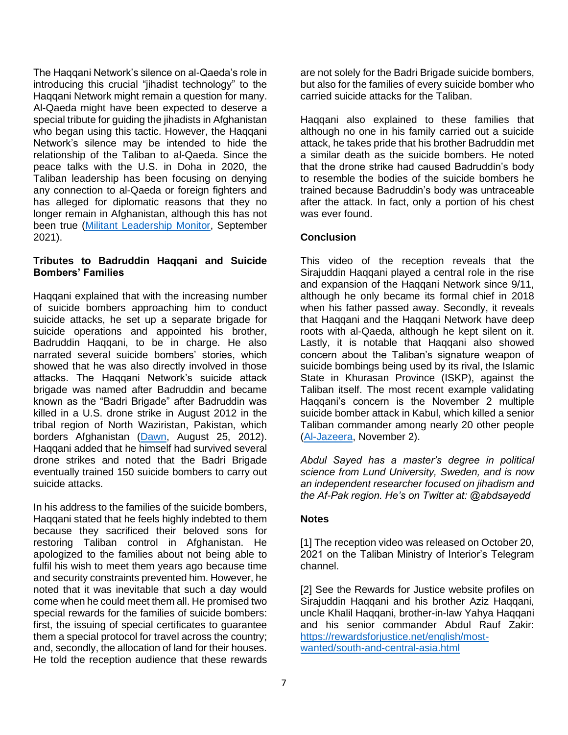The Haqqani Network's silence on al-Qaeda's role in introducing this crucial "jihadist technology" to the Haqqani Network might remain a question for many. Al-Qaeda might have been expected to deserve a special tribute for guiding the jihadists in Afghanistan who began using this tactic. However, the Haqqani Network's silence may be intended to hide the relationship of the Taliban to al-Qaeda. Since the peace talks with the U.S. in Doha in 2020, the Taliban leadership has been focusing on denying any connection to al-Qaeda or foreign fighters and has alleged for diplomatic reasons that they no longer remain in Afghanistan, although this has not been true [\(Militant Leadership Monitor,](https://jamestown.org/program/al-qaeda-confirms-the-killing-of-its-indian-amir-the-rise-and-secret-fall-of-shaikh-asim-umar/) September 2021).

### **Tributes to Badruddin Haqqani and Suicide Bombers' Families**

Haqqani explained that with the increasing number of suicide bombers approaching him to conduct suicide attacks, he set up a separate brigade for suicide operations and appointed his brother, Badruddin Haqqani, to be in charge. He also narrated several suicide bombers' stories, which showed that he was also directly involved in those attacks. The Haqqani Network's suicide attack brigade was named after Badruddin and became known as the "Badri Brigade" after Badruddin was killed in a U.S. drone strike in August 2012 in the tribal region of North Waziristan, Pakistan, which borders Afghanistan [\(Dawn,](about:blank) August 25, 2012). Haqqani added that he himself had survived several drone strikes and noted that the Badri Brigade eventually trained 150 suicide bombers to carry out suicide attacks.

In his address to the families of the suicide bombers, Haqqani stated that he feels highly indebted to them because they sacrificed their beloved sons for restoring Taliban control in Afghanistan. He apologized to the families about not being able to fulfil his wish to meet them years ago because time and security constraints prevented him. However, he noted that it was inevitable that such a day would come when he could meet them all. He promised two special rewards for the families of suicide bombers: first, the issuing of special certificates to guarantee them a special protocol for travel across the country; and, secondly, the allocation of land for their houses. He told the reception audience that these rewards

are not solely for the Badri Brigade suicide bombers, but also for the families of every suicide bomber who carried suicide attacks for the Taliban.

Haqqani also explained to these families that although no one in his family carried out a suicide attack, he takes pride that his brother Badruddin met a similar death as the suicide bombers. He noted that the drone strike had caused Badruddin's body to resemble the bodies of the suicide bombers he trained because Badruddin's body was untraceable after the attack. In fact, only a portion of his chest was ever found.

## **Conclusion**

This video of the reception reveals that the Sirajuddin Haqqani played a central role in the rise and expansion of the Haqqani Network since 9/11, although he only became its formal chief in 2018 when his father passed away. Secondly, it reveals that Haqqani and the Haqqani Network have deep roots with al-Qaeda, although he kept silent on it. Lastly, it is notable that Haqqani also showed concern about the Taliban's signature weapon of suicide bombings being used by its rival, the Islamic State in Khurasan Province (ISKP), against the Taliban itself. The most recent example validating Haqqani's concern is the November 2 multiple suicide bomber attack in Kabul, which killed a senior Taliban commander among nearly 20 other people [\(Al-Jazeera,](https://www.aljazeera.com/news/2021/11/2/two-large-blasts-in-afghanistans-capital-kabul-at-waz) November 2).

*Abdul Sayed has a master's degree in political science from Lund University, Sweden, and is now an independent researcher focused on jihadism and the Af-Pak region. He's on Twitter at: @abdsayedd*

### **Notes**

[1] The reception video was released on October 20, 2021 on the Taliban Ministry of Interior's Telegram channel.

[2] See the Rewards for Justice website profiles on Sirajuddin Haqqani and his brother Aziz Haqqani, uncle Khalil Haqqani, brother-in-law Yahya Haqqani and his senior commander Abdul Rauf Zakir: [https://rewardsforjustice.net/english/most](https://rewardsforjustice.net/english/most-wanted/south-and-central-asia.html)[wanted/south-and-central-asia.html](https://rewardsforjustice.net/english/most-wanted/south-and-central-asia.html)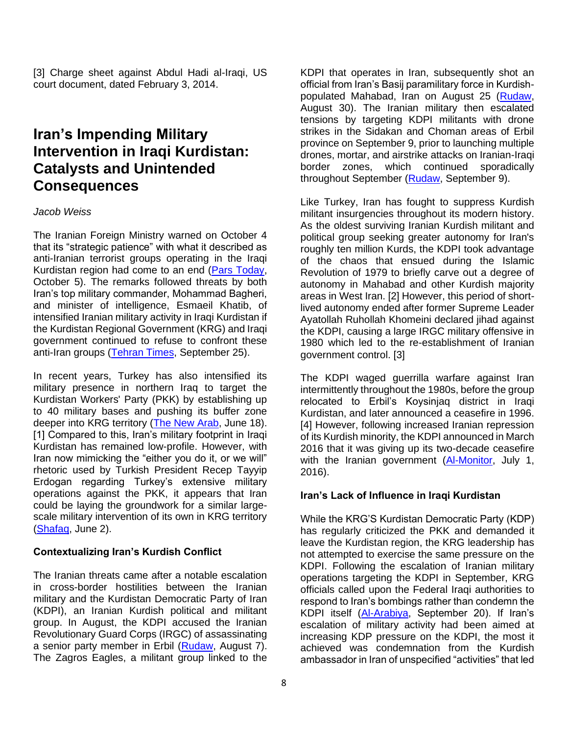[3] Charge sheet against Abdul Hadi al-Iraqi, US court document, dated February 3, 2014.

# **Iran's Impending Military Intervention in Iraqi Kurdistan: Catalysts and Unintended Consequences**

#### *Jacob Weiss*

The Iranian Foreign Ministry warned on October 4 that its "strategic patience" with what it described as anti-Iranian terrorist groups operating in the Iraqi Kurdistan region had come to an end [\(Pars Today,](https://parstoday.com/en/news/iran-i154326-iran_says_) October 5). The remarks followed threats by both Iran's top military commander, Mohammad Bagheri, and minister of intelligence, Esmaeil Khatib, of intensified Iranian military activity in Iraqi Kurdistan if the Kurdistan Regional Government (KRG) and Iraqi government continued to refuse to confront these anti-Iran groups [\(Tehran Times,](https://www.tehrantimes.com/news/465453/Tehran-vows-tough-response-against-U-S-Israeli-bases-in-Iraqi) September 25).

In recent years, Turkey has also intensified its military presence in northern Iraq to target the Kurdistan Workers' Party (PKK) by establishing up to 40 military bases and pushing its buffer zone deeper into KRG territory [\(The New Arab,](https://english.alaraby.co.uk/analysis/how-turkey-building-buffer-zone-iraqi-kurdistan) June 18). [1] Compared to this, Iran's military footprint in Iraqi Kurdistan has remained low-profile. However, with Iran now mimicking the "either you do it, or we will" rhetoric used by Turkish President Recep Tayyip Erdogan regarding Turkey's extensive military operations against the PKK, it appears that Iran could be laying the groundwork for a similar largescale military intervention of its own in KRG territory [\(Shafaq,](https://shafaq.com/en/Iraq-News/Erdogan-If-the-United-Nations-does-not-clean-up-Makhmur-camp-we-will-do-so) June 2).

### **Contextualizing Iran's Kurdish Conflict**

The Iranian threats came after a notable escalation in cross-border hostilities between the Iranian military and the Kurdistan Democratic Party of Iran (KDPI), an Iranian Kurdish political and militant group. In August, the KDPI accused the Iranian Revolutionary Guard Corps (IRGC) of assassinating a senior party member in Erbil [\(Rudaw,](https://www.rudaw.net/english/middleeast/iran/070820212) August 7). The Zagros Eagles, a militant group linked to the

KDPI that operates in Iran, subsequently shot an official from Iran's Basij paramilitary force in Kurdishpopulated Mahabad, Iran on August 25 [\(Rudaw,](https://www.rudaw.net/english/middleeast/iran/29082021) August 30). The Iranian military then escalated tensions by targeting KDPI militants with drone strikes in the Sidakan and Choman areas of Erbil province on September 9, prior to launching multiple drones, mortar, and airstrike attacks on Iranian-Iraqi border zones, which continued sporadically throughout September [\(Rudaw,](https://www.rudaw.net/english/kurdistan/09092021) September 9).

Like Turkey, Iran has fought to suppress Kurdish militant insurgencies throughout its modern history. As the oldest surviving Iranian Kurdish militant and political group seeking greater autonomy for Iran's roughly ten million Kurds, the KDPI took advantage of the chaos that ensued during the Islamic Revolution of 1979 to briefly carve out a degree of autonomy in Mahabad and other Kurdish majority areas in West Iran. [2] However, this period of shortlived autonomy ended after former Supreme Leader Ayatollah Ruhollah Khomeini declared jihad against the KDPI, causing a large IRGC military offensive in 1980 which led to the re-establishment of Iranian government control. [3]

The KDPI waged guerrilla warfare against Iran intermittently throughout the 1980s, before the group relocated to Erbil's Koysinjaq district in Iraqi Kurdistan, and later announced a ceasefire in 1996. [4] However, following increased Iranian repression of its Kurdish minority, the KDPI announced in March 2016 that it was giving up its two-decade ceasefire with the Iranian government [\(Al-Monitor,](https://www.al-monitor.com/originals/2016/07/iran-kurdish-party-attack-irgc.html) July 1, 2016).

### **Iran's Lack of Influence in Iraqi Kurdistan**

While the KRG'S Kurdistan Democratic Party (KDP) has regularly criticized the PKK and demanded it leave the Kurdistan region, the KRG leadership has not attempted to exercise the same pressure on the KDPI. Following the escalation of Iranian military operations targeting the KDPI in September, KRG officials called upon the Federal Iraqi authorities to respond to Iran's bombings rather than condemn the KDPI itself [\(Al-Arabiya,](https://www.alarabiya.net/arab-and-world/iraq/2021/09/20/%D9%82%D8%A7%D8%AF%D8%A9-%D9%83%D8%B1%D8%AF%D8%B3%D8%AA%D8%A7%D9%86-%D8%A7%D9%84%D8%B9%D8%B1%D8%A7%D9%82-%D9%8A%D8%B7%D8%A7%D9%84%D8%A8%D9%88%D9%86-%D8%A8%D8%BA%D8%AF%D8%A7%D8%AF-%D8%A8%D9%85%D9%88%D8%A7%D8%AC%D9%87%D8%A9-%D8%A7%D9%84%D8%AA%D9%87%D8%AF%D9%8A%D8%AF-%D8%A7%D9%84%D8%A7%D9%8A%D8%B1%D8%A7%D9%86%D9%8A) September 20). If Iran's escalation of military activity had been aimed at increasing KDP pressure on the KDPI, the most it achieved was condemnation from the Kurdish ambassador in Iran of unspecified "activities" that led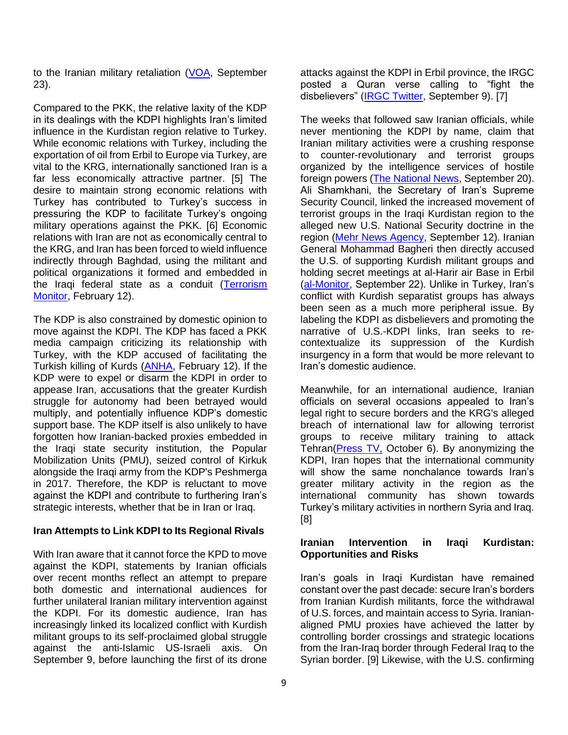to the Iranian military retaliation [\(VOA,](https://www.voanews.com/a/iran-ups-pressure-on-kurdish-rebels/6242941.html) September 23).

Compared to the PKK, the relative laxity of the KDP in its dealings with the KDPI highlights Iran's limited influence in the Kurdistan region relative to Turkey. While economic relations with Turkey, including the exportation of oil from Erbil to Europe via Turkey, are vital to the KRG, internationally sanctioned Iran is a far less economically attractive partner. [5] The desire to maintain strong economic relations with Turkey has contributed to Turkey's success in pressuring the KDP to facilitate Turkey's ongoing military operations against the PKK. [6] Economic relations with Iran are not as economically central to the KRG, and Iran has been forced to wield influence indirectly through Baghdad, using the militant and political organizations it formed and embedded in the Iraqi federal state as a conduit [\(Terrorism](https://jamestown.org/program/irans-resistance-axis-rattled-by-divisions-asaib-ahl-al-haqs-leader-rejects-the-ceasefire-in-iraq/)  [Monitor,](https://jamestown.org/program/irans-resistance-axis-rattled-by-divisions-asaib-ahl-al-haqs-leader-rejects-the-ceasefire-in-iraq/) February 12).

The KDP is also constrained by domestic opinion to move against the KDPI. The KDP has faced a PKK media campaign criticizing its relationship with Turkey, with the KDP accused of facilitating the Turkish killing of Kurds [\(ANHA,](https://hawarnews.com/en/haber/who-prepared-ground-for-attack-on-gar-h22853.html) February 12). If the KDP were to expel or disarm the KDPI in order to appease Iran, accusations that the greater Kurdish struggle for autonomy had been betrayed would multiply, and potentially influence KDP's domestic support base. The KDP itself is also unlikely to have forgotten how Iranian-backed proxies embedded in the Iraqi state security institution, the Popular Mobilization Units (PMU), seized control of Kirkuk alongside the Iraqi army from the KDP's Peshmerga in 2017. Therefore, the KDP is reluctant to move against the KDPI and contribute to furthering Iran's strategic interests, whether that be in Iran or Iraq.

### **Iran Attempts to Link KDPI to Its Regional Rivals**

With Iran aware that it cannot force the KPD to move against the KDPI, statements by Iranian officials over recent months reflect an attempt to prepare both domestic and international audiences for further unilateral Iranian military intervention against the KDPI. For its domestic audience, Iran has increasingly linked its localized conflict with Kurdish militant groups to its self-proclaimed global struggle against the anti-Islamic US-Israeli axis. On September 9, before launching the first of its drone

attacks against the KDPI in Erbil province, the IRGC posted a Quran verse calling to "fight the disbelievers" [\(IRGC Twitter,](https://twitter.com/Sepah_FA/status/1435864074387169286) September 9). [7]

The weeks that followed saw Iranian officials, while never mentioning the KDPI by name, claim that Iranian military activities were a crushing response to counter-revolutionary and terrorist groups organized by the intelligence services of hostile foreign powers [\(The National News,](https://www.thenationalnews.com/mena/iraq/2021/09/20/iran-shells-kurdish-insurgents-in-iraq/) September 20). Ali Shamkhani, the Secretary of Iran's Supreme Security Council, linked the increased movement of terrorist groups in the Iraqi Kurdistan region to the alleged new U.S. National Security doctrine in the region [\(Mehr News Agency,](https://en.mehrnews.com/news/178567/Shamkhani-calls-on-Iraq-PM-to-expel-terrorist-groups-from-KRG) September 12). Iranian General Mohammad Bagheri then directly accused the U.S. of supporting Kurdish militant groups and holding secret meetings at al-Harir air Base in Erbil [\(al-Monitor,](https://www.al-monitor.com/originals/2021/09/are-iranian-threats-escalate-iraqi-kurdistan-more-hot-air) September 22). Unlike in Turkey, Iran's conflict with Kurdish separatist groups has always been seen as a much more peripheral issue. By labeling the KDPI as disbelievers and promoting the narrative of U.S.-KDPI links, Iran seeks to recontextualize its suppression of the Kurdish insurgency in a form that would be more relevant to Iran's domestic audience.

Meanwhile, for an international audience, Iranian officials on several occasions appealed to Iran's legal right to secure borders and the KRG's alleged breach of international law for allowing terrorist groups to receive military training to attack Tehran[\(Press TV,](https://www.presstv.ir/Detail/2021/10/06/667955/Commander-Iran-deal-hostile-groups-bordering-countries) October 6). By anonymizing the KDPI, Iran hopes that the international community will show the same nonchalance towards Iran's greater military activity in the region as the international community has shown towards Turkey's military activities in northern Syria and Iraq. [8]

## **Iranian Intervention in Iraqi Kurdistan: Opportunities and Risks**

Iran's goals in Iraqi Kurdistan have remained constant over the past decade: secure Iran's borders from Iranian Kurdish militants, force the withdrawal of U.S. forces, and maintain access to Syria. Iranianaligned PMU proxies have achieved the latter by controlling border crossings and strategic locations from the Iran-Iraq border through Federal Iraq to the Syrian border. [9] Likewise, with the U.S. confirming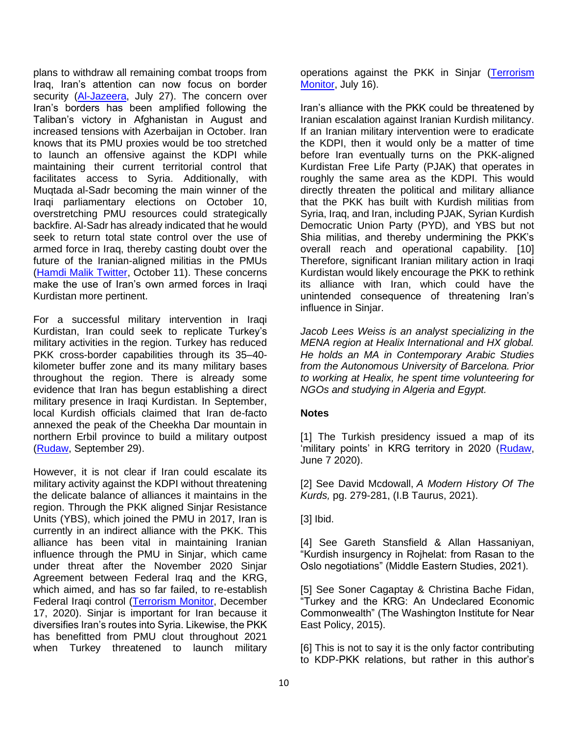plans to withdraw all remaining combat troops from Iraq, Iran's attention can now focus on border security [\(Al-Jazeera,](https://www.aljazeera.com/news/2021/7/26/biden-kadhimi-seal-agreement-to-end-us-combat-mission-in-iraq) July 27). The concern over Iran's borders has been amplified following the Taliban's victory in Afghanistan in August and increased tensions with Azerbaijan in October. Iran knows that its PMU proxies would be too stretched to launch an offensive against the KDPI while maintaining their current territorial control that facilitates access to Syria. Additionally, with Muqtada al-Sadr becoming the main winner of the Iraqi parliamentary elections on October 10, overstretching PMU resources could strategically backfire. Al-Sadr has already indicated that he would seek to return total state control over the use of armed force in Iraq, thereby casting doubt over the future of the Iranian-aligned militias in the PMUs [\(Hamdi Malik Twitter,](https://twitter.com/HamdiAMalik/status/1447674752202678272) October 11). These concerns make the use of Iran's own armed forces in Iraqi Kurdistan more pertinent.

For a successful military intervention in Iraqi Kurdistan, Iran could seek to replicate Turkey's military activities in the region. Turkey has reduced PKK cross-border capabilities through its 35–40 kilometer buffer zone and its many military bases throughout the region. There is already some evidence that Iran has begun establishing a direct military presence in Iraqi Kurdistan. In September, local Kurdish officials claimed that Iran de-facto annexed the peak of the Cheekha Dar mountain in northern Erbil province to build a military outpost [\(Rudaw,](https://www.rudaw.net/english/kurdistan/29092021) September 29).

However, it is not clear if Iran could escalate its military activity against the KDPI without threatening the delicate balance of alliances it maintains in the region. Through the PKK aligned Sinjar Resistance Units (YBS), which joined the PMU in 2017, Iran is currently in an indirect alliance with the PKK. This alliance has been vital in maintaining Iranian influence through the PMU in Sinjar, which came under threat after the November 2020 Sinjar Agreement between Federal Iraq and the KRG, which aimed, and has so far failed, to re-establish Federal Iraqi control [\(Terrorism Monitor,](https://www.google.com/search?q=Terrorism+Monitor+Sinjar&oq=Terrorism+Monitor+Sinjar&aqs=chrome..69i57.3659j1j4&sourceid=chrome&ie=UTF-8) December 17, 2020). Sinjar is important for Iran because it diversifies Iran's routes into Syria. Likewise, the PKK has benefitted from PMU clout throughout 2021 when Turkey threatened to launch military

operations against the PKK in Sinjar [\(Terrorism](https://jamestown.org/program/iranian-backed-iraqi-militias-deter-turkish-intervention-in-sinjar/)  [Monitor,](https://jamestown.org/program/iranian-backed-iraqi-militias-deter-turkish-intervention-in-sinjar/) July 16).

Iran's alliance with the PKK could be threatened by Iranian escalation against Iranian Kurdish militancy. If an Iranian military intervention were to eradicate the KDPI, then it would only be a matter of time before Iran eventually turns on the PKK-aligned Kurdistan Free Life Party (PJAK) that operates in roughly the same area as the KDPI. This would directly threaten the political and military alliance that the PKK has built with Kurdish militias from Syria, Iraq, and Iran, including PJAK, Syrian Kurdish Democratic Union Party (PYD), and YBS but not Shia militias, and thereby undermining the PKK's overall reach and operational capability. [10] Therefore, significant Iranian military action in Iraqi Kurdistan would likely encourage the PKK to rethink its alliance with Iran, which could have the unintended consequence of threatening Iran's influence in Sinjar.

*Jacob Lees Weiss is an analyst specializing in the MENA region at Healix International and HX global. He holds an MA in Contemporary Arabic Studies from the Autonomous University of Barcelona. Prior to working at Healix, he spent time volunteering for NGOs and studying in Algeria and Egypt.*

### **Notes**

[1] The Turkish presidency issued a map of its 'military points' in KRG territory in 2020 [\(Rudaw,](https://www.rudaw.net/english/kurdistan/06072020) June 7 2020).

[2] See David Mcdowall, *A Modern History Of The Kurds,* pg. 279-281, (I.B Taurus, 2021).

[3] Ibid.

[4] See Gareth Stansfield & Allan Hassaniyan, "Kurdish insurgency in Rojhelat: from Rasan to the Oslo negotiations" (Middle Eastern Studies, 2021).

[5] See Soner Cagaptay & Christina Bache Fidan, "Turkey and the KRG: An Undeclared Economic Commonwealth" (The Washington Institute for Near East Policy, 2015).

[6] This is not to say it is the only factor contributing to KDP-PKK relations, but rather in this author's